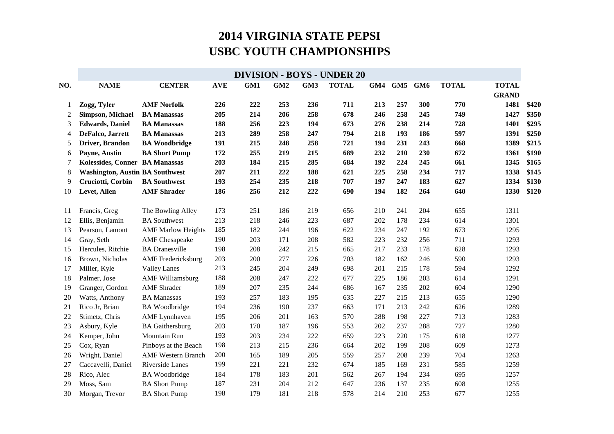|                |                                        |                           |            |     |     |                 | <b>DIVISION - BOYS - UNDER 20</b> |     |     |                 |              |                              |       |
|----------------|----------------------------------------|---------------------------|------------|-----|-----|-----------------|-----------------------------------|-----|-----|-----------------|--------------|------------------------------|-------|
| NO.            | <b>NAME</b>                            | <b>CENTER</b>             | <b>AVE</b> | GM1 | GM2 | GM <sub>3</sub> | <b>TOTAL</b>                      | GM4 | GM5 | GM <sub>6</sub> | <b>TOTAL</b> | <b>TOTAL</b><br><b>GRAND</b> |       |
| -1             | Zogg, Tyler                            | <b>AMF Norfolk</b>        | 226        | 222 | 253 | 236             | 711                               | 213 | 257 | 300             | 770          | 1481                         | \$420 |
| $\overline{2}$ | <b>Simpson, Michael</b>                | <b>BA Manassas</b>        | 205        | 214 | 206 | 258             | 678                               | 246 | 258 | 245             | 749          | 1427                         | \$350 |
| 3              | <b>Edwards</b> , Daniel                | <b>BA Manassas</b>        | 188        | 256 | 223 | 194             | 673                               | 276 | 238 | 214             | 728          | 1401                         | \$295 |
| 4              | DeFalco, Jarrett                       | <b>BA Manassas</b>        | 213        | 289 | 258 | 247             | 794                               | 218 | 193 | 186             | 597          | 1391                         | \$250 |
| 5              | Driver, Brandon                        | <b>BA Woodbridge</b>      | 191        | 215 | 248 | 258             | 721                               | 194 | 231 | 243             | 668          | 1389                         | \$215 |
| 6              | Payne, Austin                          | <b>BA Short Pump</b>      | 172        | 255 | 219 | 215             | 689                               | 232 | 210 | 230             | 672          | 1361                         | \$190 |
| 7              | Kolessides, Conner BA Manassas         |                           | 203        | 184 | 215 | 285             | 684                               | 192 | 224 | 245             | 661          | 1345                         | \$165 |
| 8              | <b>Washington, Austin BA Southwest</b> |                           | 207        | 211 | 222 | 188             | 621                               | 225 | 258 | 234             | 717          | 1338                         | \$145 |
| 9              | Cruciotti, Corbin                      | <b>BA Southwest</b>       | 193        | 254 | 235 | 218             | 707                               | 197 | 247 | 183             | 627          | 1334                         | \$130 |
| 10             | Levet, Allen                           | <b>AMF</b> Shrader        | 186        | 256 | 212 | 222             | 690                               | 194 | 182 | 264             | 640          | 1330                         | \$120 |
| 11             | Francis, Greg                          | The Bowling Alley         | 173        | 251 | 186 | 219             | 656                               | 210 | 241 | 204             | 655          | 1311                         |       |
| 12             | Ellis, Benjamin                        | <b>BA</b> Southwest       | 213        | 218 | 246 | 223             | 687                               | 202 | 178 | 234             | 614          | 1301                         |       |
| 13             | Pearson, Lamont                        | <b>AMF Marlow Heights</b> | 185        | 182 | 244 | 196             | 622                               | 234 | 247 | 192             | 673          | 1295                         |       |
| 14             | Gray, Seth                             | <b>AMF</b> Chesapeake     | 190        | 203 | 171 | 208             | 582                               | 223 | 232 | 256             | 711          | 1293                         |       |
| 15             | Hercules, Ritchie                      | <b>BA</b> Dranesville     | 198        | 208 | 242 | 215             | 665                               | 217 | 233 | 178             | 628          | 1293                         |       |
| 16             | Brown, Nicholas                        | <b>AMF</b> Fredericksburg | 203        | 200 | 277 | 226             | 703                               | 182 | 162 | 246             | 590          | 1293                         |       |
| 17             | Miller, Kyle                           | <b>Valley Lanes</b>       | 213        | 245 | 204 | 249             | 698                               | 201 | 215 | 178             | 594          | 1292                         |       |
| 18             | Palmer, Jose                           | <b>AMF Williamsburg</b>   | 188        | 208 | 247 | 222             | 677                               | 225 | 186 | 203             | 614          | 1291                         |       |
| 19             | Granger, Gordon                        | <b>AMF</b> Shrader        | 189        | 207 | 235 | 244             | 686                               | 167 | 235 | 202             | 604          | 1290                         |       |
| 20             | Watts, Anthony                         | <b>BA</b> Manassas        | 193        | 257 | 183 | 195             | 635                               | 227 | 215 | 213             | 655          | 1290                         |       |
| 21             | Rico Jr, Brian                         | <b>BA</b> Woodbridge      | 194        | 236 | 190 | 237             | 663                               | 171 | 213 | 242             | 626          | 1289                         |       |
| 22             | Stimetz, Chris                         | <b>AMF</b> Lynnhaven      | 195        | 206 | 201 | 163             | 570                               | 288 | 198 | 227             | 713          | 1283                         |       |
| 23             | Asbury, Kyle                           | <b>BA</b> Gaithersburg    | 203        | 170 | 187 | 196             | 553                               | 202 | 237 | 288             | 727          | 1280                         |       |
| 24             | Kemper, John                           | Mountain Run              | 193        | 203 | 234 | 222             | 659                               | 223 | 220 | 175             | 618          | 1277                         |       |
| 25             | Cox, Ryan                              | Pinboys at the Beach      | 198        | 213 | 215 | 236             | 664                               | 202 | 199 | 208             | 609          | 1273                         |       |
| 26             | Wright, Daniel                         | <b>AMF Western Branch</b> | 200        | 165 | 189 | 205             | 559                               | 257 | 208 | 239             | 704          | 1263                         |       |
| 27             | Caccavelli, Daniel                     | Riverside Lanes           | 199        | 221 | 221 | 232             | 674                               | 185 | 169 | 231             | 585          | 1259                         |       |
| 28             | Rico, Alec                             | <b>BA</b> Woodbridge      | 184        | 178 | 183 | 201             | 562                               | 267 | 194 | 234             | 695          | 1257                         |       |
| 29             | Moss, Sam                              | <b>BA Short Pump</b>      | 187        | 231 | 204 | 212             | 647                               | 236 | 137 | 235             | 608          | 1255                         |       |
| 30             | Morgan, Trevor                         | <b>BA Short Pump</b>      | 198        | 179 | 181 | 218             | 578                               | 214 | 210 | 253             | 677          | 1255                         |       |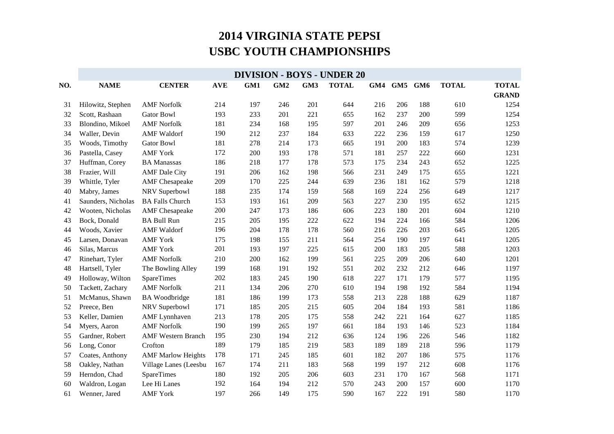|     | <b>DIVISION - BOYS - UNDER 20</b> |                           |            |     |     |     |              |     |     |                 |              |              |  |
|-----|-----------------------------------|---------------------------|------------|-----|-----|-----|--------------|-----|-----|-----------------|--------------|--------------|--|
| NO. | <b>NAME</b>                       | <b>CENTER</b>             | <b>AVE</b> | GM1 | GM2 | GM3 | <b>TOTAL</b> | GM4 | GM5 | GM <sub>6</sub> | <b>TOTAL</b> | <b>TOTAL</b> |  |
|     |                                   |                           |            |     |     |     |              |     |     |                 |              | <b>GRAND</b> |  |
| 31  | Hilowitz, Stephen                 | <b>AMF</b> Norfolk        | 214        | 197 | 246 | 201 | 644          | 216 | 206 | 188             | 610          | 1254         |  |
| 32  | Scott, Rashaan                    | <b>Gator Bowl</b>         | 193        | 233 | 201 | 221 | 655          | 162 | 237 | 200             | 599          | 1254         |  |
| 33  | Blondino, Mikoel                  | <b>AMF Norfolk</b>        | 181        | 234 | 168 | 195 | 597          | 201 | 246 | 209             | 656          | 1253         |  |
| 34  | Waller, Devin                     | <b>AMF</b> Waldorf        | 190        | 212 | 237 | 184 | 633          | 222 | 236 | 159             | 617          | 1250         |  |
| 35  | Woods, Timothy                    | <b>Gator Bowl</b>         | 181        | 278 | 214 | 173 | 665          | 191 | 200 | 183             | 574          | 1239         |  |
| 36  | Pastella, Casey                   | <b>AMF York</b>           | 172        | 200 | 193 | 178 | 571          | 181 | 257 | 222             | 660          | 1231         |  |
| 37  | Huffman, Corey                    | <b>BA</b> Manassas        | 186        | 218 | 177 | 178 | 573          | 175 | 234 | 243             | 652          | 1225         |  |
| 38  | Frazier, Will                     | <b>AMF</b> Dale City      | 191        | 206 | 162 | 198 | 566          | 231 | 249 | 175             | 655          | 1221         |  |
| 39  | Whittle, Tyler                    | <b>AMF</b> Chesapeake     | 209        | 170 | 225 | 244 | 639          | 236 | 181 | 162             | 579          | 1218         |  |
| 40  | Mabry, James                      | NRV Superbowl             | 188        | 235 | 174 | 159 | 568          | 169 | 224 | 256             | 649          | 1217         |  |
| 41  | Saunders, Nicholas                | <b>BA Falls Church</b>    | 153        | 193 | 161 | 209 | 563          | 227 | 230 | 195             | 652          | 1215         |  |
| 42  | Wooten, Nicholas                  | <b>AMF</b> Chesapeake     | 200        | 247 | 173 | 186 | 606          | 223 | 180 | 201             | 604          | 1210         |  |
| 43  | Bock, Donald                      | <b>BA Bull Run</b>        | 215        | 205 | 195 | 222 | 622          | 194 | 224 | 166             | 584          | 1206         |  |
| 44  | Woods, Xavier                     | <b>AMF</b> Waldorf        | 196        | 204 | 178 | 178 | 560          | 216 | 226 | 203             | 645          | 1205         |  |
| 45  | Larsen, Donavan                   | <b>AMF York</b>           | 175        | 198 | 155 | 211 | 564          | 254 | 190 | 197             | 641          | 1205         |  |
| 46  | Silas, Marcus                     | <b>AMF York</b>           | 201        | 193 | 197 | 225 | 615          | 200 | 183 | 205             | 588          | 1203         |  |
| 47  | Rinehart, Tyler                   | <b>AMF Norfolk</b>        | 210        | 200 | 162 | 199 | 561          | 225 | 209 | 206             | 640          | 1201         |  |
| 48  | Hartsell, Tyler                   | The Bowling Alley         | 199        | 168 | 191 | 192 | 551          | 202 | 232 | 212             | 646          | 1197         |  |
| 49  | Holloway, Wilton                  | <b>SpareTimes</b>         | 202        | 183 | 245 | 190 | 618          | 227 | 171 | 179             | 577          | 1195         |  |
| 50  | Tackett, Zachary                  | <b>AMF Norfolk</b>        | 211        | 134 | 206 | 270 | 610          | 194 | 198 | 192             | 584          | 1194         |  |
| 51  | McManus, Shawn                    | <b>BA</b> Woodbridge      | 181        | 186 | 199 | 173 | 558          | 213 | 228 | 188             | 629          | 1187         |  |
| 52  | Preece, Ben                       | NRV Superbowl             | 171        | 185 | 205 | 215 | 605          | 204 | 184 | 193             | 581          | 1186         |  |
| 53  | Keller, Damien                    | <b>AMF</b> Lynnhaven      | 213        | 178 | 205 | 175 | 558          | 242 | 221 | 164             | 627          | 1185         |  |
| 54  | Myers, Aaron                      | <b>AMF Norfolk</b>        | 190        | 199 | 265 | 197 | 661          | 184 | 193 | 146             | 523          | 1184         |  |
| 55  | Gardner, Robert                   | <b>AMF Western Branch</b> | 195        | 230 | 194 | 212 | 636          | 124 | 196 | 226             | 546          | 1182         |  |
| 56  | Long, Conor                       | Crofton                   | 189        | 179 | 185 | 219 | 583          | 189 | 189 | 218             | 596          | 1179         |  |
| 57  | Coates, Anthony                   | <b>AMF Marlow Heights</b> | 178        | 171 | 245 | 185 | 601          | 182 | 207 | 186             | 575          | 1176         |  |
| 58  | Oakley, Nathan                    | Village Lanes (Leesbu     | 167        | 174 | 211 | 183 | 568          | 199 | 197 | 212             | 608          | 1176         |  |
| 59  | Herndon, Chad                     | <b>SpareTimes</b>         | 180        | 192 | 205 | 206 | 603          | 231 | 170 | 167             | 568          | 1171         |  |
| 60  | Waldron, Logan                    | Lee Hi Lanes              | 192        | 164 | 194 | 212 | 570          | 243 | 200 | 157             | 600          | 1170         |  |
| 61  | Wenner, Jared                     | <b>AMF York</b>           | 197        | 266 | 149 | 175 | 590          | 167 | 222 | 191             | 580          | 1170         |  |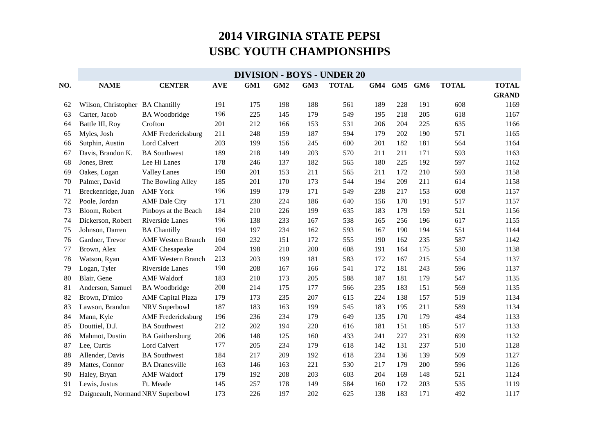|     | <b>DIVISION - BOYS - UNDER 20</b> |                           |            |     |                 |     |              |     |     |     |              |              |  |
|-----|-----------------------------------|---------------------------|------------|-----|-----------------|-----|--------------|-----|-----|-----|--------------|--------------|--|
| NO. | <b>NAME</b>                       | <b>CENTER</b>             | <b>AVE</b> | GM1 | GM <sub>2</sub> | GM3 | <b>TOTAL</b> | GM4 | GM5 | GM6 | <b>TOTAL</b> | <b>TOTAL</b> |  |
|     |                                   |                           |            |     |                 |     |              |     |     |     |              | <b>GRAND</b> |  |
| 62  | Wilson, Christopher BA Chantilly  |                           | 191        | 175 | 198             | 188 | 561          | 189 | 228 | 191 | 608          | 1169         |  |
| 63  | Carter, Jacob                     | <b>BA</b> Woodbridge      | 196        | 225 | 145             | 179 | 549          | 195 | 218 | 205 | 618          | 1167         |  |
| 64  | Battle III, Roy                   | Crofton                   | 201        | 212 | 166             | 153 | 531          | 206 | 204 | 225 | 635          | 1166         |  |
| 65  | Myles, Josh                       | <b>AMF</b> Fredericksburg | 211        | 248 | 159             | 187 | 594          | 179 | 202 | 190 | 571          | 1165         |  |
| 66  | Sutphin, Austin                   | Lord Calvert              | 203        | 199 | 156             | 245 | 600          | 201 | 182 | 181 | 564          | 1164         |  |
| 67  | Davis, Brandon K.                 | <b>BA</b> Southwest       | 189        | 218 | 149             | 203 | 570          | 211 | 211 | 171 | 593          | 1163         |  |
| 68  | Jones, Brett                      | Lee Hi Lanes              | 178        | 246 | 137             | 182 | 565          | 180 | 225 | 192 | 597          | 1162         |  |
| 69  | Oakes, Logan                      | <b>Valley Lanes</b>       | 190        | 201 | 153             | 211 | 565          | 211 | 172 | 210 | 593          | 1158         |  |
| 70  | Palmer, David                     | The Bowling Alley         | 185        | 201 | 170             | 173 | 544          | 194 | 209 | 211 | 614          | 1158         |  |
| 71  | Breckenridge, Juan                | <b>AMF York</b>           | 196        | 199 | 179             | 171 | 549          | 238 | 217 | 153 | 608          | 1157         |  |
| 72  | Poole, Jordan                     | <b>AMF</b> Dale City      | 171        | 230 | 224             | 186 | 640          | 156 | 170 | 191 | 517          | 1157         |  |
| 73  | Bloom, Robert                     | Pinboys at the Beach      | 184        | 210 | 226             | 199 | 635          | 183 | 179 | 159 | 521          | 1156         |  |
| 74  | Dickerson, Robert                 | Riverside Lanes           | 196        | 138 | 233             | 167 | 538          | 165 | 256 | 196 | 617          | 1155         |  |
| 75  | Johnson, Darren                   | <b>BA Chantilly</b>       | 194        | 197 | 234             | 162 | 593          | 167 | 190 | 194 | 551          | 1144         |  |
| 76  | Gardner, Trevor                   | <b>AMF Western Branch</b> | 160        | 232 | 151             | 172 | 555          | 190 | 162 | 235 | 587          | 1142         |  |
| 77  | Brown, Alex                       | <b>AMF</b> Chesapeake     | 204        | 198 | 210             | 200 | 608          | 191 | 164 | 175 | 530          | 1138         |  |
| 78  | Watson, Ryan                      | <b>AMF Western Branch</b> | 213        | 203 | 199             | 181 | 583          | 172 | 167 | 215 | 554          | 1137         |  |
| 79  | Logan, Tyler                      | Riverside Lanes           | 190        | 208 | 167             | 166 | 541          | 172 | 181 | 243 | 596          | 1137         |  |
| 80  | Blair, Gene                       | <b>AMF</b> Waldorf        | 183        | 210 | 173             | 205 | 588          | 187 | 181 | 179 | 547          | 1135         |  |
| 81  | Anderson, Samuel                  | <b>BA</b> Woodbridge      | 208        | 214 | 175             | 177 | 566          | 235 | 183 | 151 | 569          | 1135         |  |
| 82  | Brown, D'mico                     | <b>AMF</b> Capital Plaza  | 179        | 173 | 235             | 207 | 615          | 224 | 138 | 157 | 519          | 1134         |  |
| 83  | Lawson, Brandon                   | NRV Superbowl             | 187        | 183 | 163             | 199 | 545          | 183 | 195 | 211 | 589          | 1134         |  |
| 84  | Mann, Kyle                        | <b>AMF</b> Fredericksburg | 196        | 236 | 234             | 179 | 649          | 135 | 170 | 179 | 484          | 1133         |  |
| 85  | Douttiel, D.J.                    | <b>BA</b> Southwest       | 212        | 202 | 194             | 220 | 616          | 181 | 151 | 185 | 517          | 1133         |  |
| 86  | Mahmot, Dustin                    | <b>BA</b> Gaithersburg    | 206        | 148 | 125             | 160 | 433          | 241 | 227 | 231 | 699          | 1132         |  |
| 87  | Lee, Curtis                       | Lord Calvert              | 177        | 205 | 234             | 179 | 618          | 142 | 131 | 237 | 510          | 1128         |  |
| 88  | Allender, Davis                   | <b>BA</b> Southwest       | 184        | 217 | 209             | 192 | 618          | 234 | 136 | 139 | 509          | 1127         |  |
| 89  | Mattes, Connor                    | <b>BA</b> Dranesville     | 163        | 146 | 163             | 221 | 530          | 217 | 179 | 200 | 596          | 1126         |  |
| 90  | Haley, Bryan                      | <b>AMF</b> Waldorf        | 179        | 192 | 208             | 203 | 603          | 204 | 169 | 148 | 521          | 1124         |  |
| 91  | Lewis, Justus                     | Ft. Meade                 | 145        | 257 | 178             | 149 | 584          | 160 | 172 | 203 | 535          | 1119         |  |
| 92  | Daigneault, Normand NRV Superbowl |                           | 173        | 226 | 197             | 202 | 625          | 138 | 183 | 171 | 492          | 1117         |  |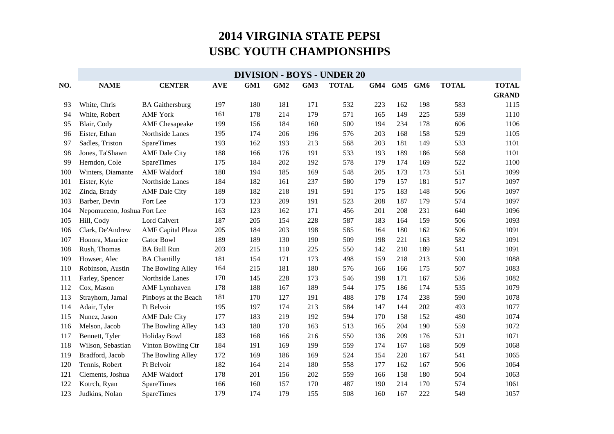|     | <b>DIVISION - BOYS - UNDER 20</b> |                          |            |     |     |     |              |     |     |     |              |              |  |
|-----|-----------------------------------|--------------------------|------------|-----|-----|-----|--------------|-----|-----|-----|--------------|--------------|--|
| NO. | <b>NAME</b>                       | <b>CENTER</b>            | <b>AVE</b> | GM1 | GM2 | GM3 | <b>TOTAL</b> | GM4 | GM5 | GM6 | <b>TOTAL</b> | <b>TOTAL</b> |  |
|     |                                   |                          |            |     |     |     |              |     |     |     |              | <b>GRAND</b> |  |
| 93  | White, Chris                      | <b>BA</b> Gaithersburg   | 197        | 180 | 181 | 171 | 532          | 223 | 162 | 198 | 583          | 1115         |  |
| 94  | White, Robert                     | <b>AMF York</b>          | 161        | 178 | 214 | 179 | 571          | 165 | 149 | 225 | 539          | 1110         |  |
| 95  | Blair, Cody                       | <b>AMF</b> Chesapeake    | 199        | 156 | 184 | 160 | 500          | 194 | 234 | 178 | 606          | 1106         |  |
| 96  | Eister, Ethan                     | Northside Lanes          | 195        | 174 | 206 | 196 | 576          | 203 | 168 | 158 | 529          | 1105         |  |
| 97  | Sadles, Triston                   | SpareTimes               | 193        | 162 | 193 | 213 | 568          | 203 | 181 | 149 | 533          | 1101         |  |
| 98  | Jones, Ta'Shawn                   | <b>AMF</b> Dale City     | 188        | 166 | 176 | 191 | 533          | 193 | 189 | 186 | 568          | 1101         |  |
| 99  | Herndon, Cole                     | SpareTimes               | 175        | 184 | 202 | 192 | 578          | 179 | 174 | 169 | 522          | 1100         |  |
| 100 | Winters, Diamante                 | <b>AMF</b> Waldorf       | 180        | 194 | 185 | 169 | 548          | 205 | 173 | 173 | 551          | 1099         |  |
| 101 | Eister, Kyle                      | Northside Lanes          | 184        | 182 | 161 | 237 | 580          | 179 | 157 | 181 | 517          | 1097         |  |
| 102 | Zinda, Brady                      | <b>AMF</b> Dale City     | 189        | 182 | 218 | 191 | 591          | 175 | 183 | 148 | 506          | 1097         |  |
| 103 | Barber, Devin                     | Fort Lee                 | 173        | 123 | 209 | 191 | 523          | 208 | 187 | 179 | 574          | 1097         |  |
| 104 | Nepomuceno, Joshua Fort Lee       |                          | 163        | 123 | 162 | 171 | 456          | 201 | 208 | 231 | 640          | 1096         |  |
| 105 | Hill, Cody                        | Lord Calvert             | 187        | 205 | 154 | 228 | 587          | 183 | 164 | 159 | 506          | 1093         |  |
| 106 | Clark, De'Andrew                  | <b>AMF</b> Capital Plaza | 205        | 184 | 203 | 198 | 585          | 164 | 180 | 162 | 506          | 1091         |  |
| 107 | Honora, Maurice                   | <b>Gator Bowl</b>        | 189        | 189 | 130 | 190 | 509          | 198 | 221 | 163 | 582          | 1091         |  |
| 108 | Rush, Thomas                      | <b>BA Bull Run</b>       | 203        | 215 | 110 | 225 | 550          | 142 | 210 | 189 | 541          | 1091         |  |
| 109 | Howser, Alec                      | <b>BA Chantilly</b>      | 181        | 154 | 171 | 173 | 498          | 159 | 218 | 213 | 590          | 1088         |  |
| 110 | Robinson, Austin                  | The Bowling Alley        | 164        | 215 | 181 | 180 | 576          | 166 | 166 | 175 | 507          | 1083         |  |
| 111 | Farley, Spencer                   | Northside Lanes          | 170        | 145 | 228 | 173 | 546          | 198 | 171 | 167 | 536          | 1082         |  |
| 112 | Cox, Mason                        | <b>AMF</b> Lynnhaven     | 178        | 188 | 167 | 189 | 544          | 175 | 186 | 174 | 535          | 1079         |  |
| 113 | Strayhorn, Jamal                  | Pinboys at the Beach     | 181        | 170 | 127 | 191 | 488          | 178 | 174 | 238 | 590          | 1078         |  |
| 114 | Adair, Tyler                      | Ft Belvoir               | 195        | 197 | 174 | 213 | 584          | 147 | 144 | 202 | 493          | 1077         |  |
| 115 | Nunez, Jason                      | <b>AMF</b> Dale City     | 177        | 183 | 219 | 192 | 594          | 170 | 158 | 152 | 480          | 1074         |  |
| 116 | Melson, Jacob                     | The Bowling Alley        | 143        | 180 | 170 | 163 | 513          | 165 | 204 | 190 | 559          | 1072         |  |
| 117 | Bennett, Tyler                    | <b>Holiday Bowl</b>      | 183        | 168 | 166 | 216 | 550          | 136 | 209 | 176 | 521          | 1071         |  |
| 118 | Wilson, Sebastian                 | Vinton Bowling Ctr       | 184        | 191 | 169 | 199 | 559          | 174 | 167 | 168 | 509          | 1068         |  |
| 119 | Bradford, Jacob                   | The Bowling Alley        | 172        | 169 | 186 | 169 | 524          | 154 | 220 | 167 | 541          | 1065         |  |
| 120 | Tennis, Robert                    | Ft Belvoir               | 182        | 164 | 214 | 180 | 558          | 177 | 162 | 167 | 506          | 1064         |  |
| 121 | Clements, Joshua                  | <b>AMF</b> Waldorf       | 178        | 201 | 156 | 202 | 559          | 166 | 158 | 180 | 504          | 1063         |  |
| 122 | Kotrch, Ryan                      | SpareTimes               | 166        | 160 | 157 | 170 | 487          | 190 | 214 | 170 | 574          | 1061         |  |
| 123 | Judkins, Nolan                    | SpareTimes               | 179        | 174 | 179 | 155 | 508          | 160 | 167 | 222 | 549          | 1057         |  |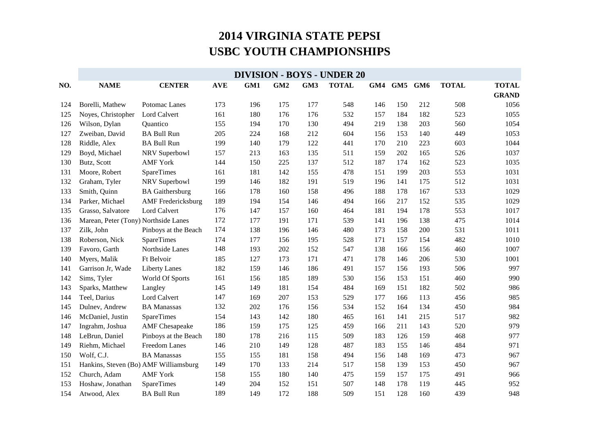|     | <b>DIVISION - BOYS - UNDER 20</b>    |                                       |            |     |                 |     |              |     |     |     |              |              |
|-----|--------------------------------------|---------------------------------------|------------|-----|-----------------|-----|--------------|-----|-----|-----|--------------|--------------|
| NO. | <b>NAME</b>                          | <b>CENTER</b>                         | <b>AVE</b> | GM1 | GM <sub>2</sub> | GM3 | <b>TOTAL</b> | GM4 | GM5 | GM6 | <b>TOTAL</b> | <b>TOTAL</b> |
|     |                                      |                                       |            |     |                 |     |              |     |     |     |              | <b>GRAND</b> |
| 124 | Borelli, Mathew                      | Potomac Lanes                         | 173        | 196 | 175             | 177 | 548          | 146 | 150 | 212 | 508          | 1056         |
| 125 | Noyes, Christopher                   | Lord Calvert                          | 161        | 180 | 176             | 176 | 532          | 157 | 184 | 182 | 523          | 1055         |
| 126 | Wilson, Dylan                        | Quantico                              | 155        | 194 | 170             | 130 | 494          | 219 | 138 | 203 | 560          | 1054         |
| 127 | Zweiban, David                       | <b>BA Bull Run</b>                    | 205        | 224 | 168             | 212 | 604          | 156 | 153 | 140 | 449          | 1053         |
| 128 | Riddle, Alex                         | <b>BA Bull Run</b>                    | 199        | 140 | 179             | 122 | 441          | 170 | 210 | 223 | 603          | 1044         |
| 129 | Boyd, Michael                        | NRV Superbowl                         | 157        | 213 | 163             | 135 | 511          | 159 | 202 | 165 | 526          | 1037         |
| 130 | Butz, Scott                          | <b>AMF York</b>                       | 144        | 150 | 225             | 137 | 512          | 187 | 174 | 162 | 523          | 1035         |
| 131 | Moore, Robert                        | <b>SpareTimes</b>                     | 161        | 181 | 142             | 155 | 478          | 151 | 199 | 203 | 553          | 1031         |
| 132 | Graham, Tyler                        | NRV Superbowl                         | 199        | 146 | 182             | 191 | 519          | 196 | 141 | 175 | 512          | 1031         |
| 133 | Smith, Quinn                         | <b>BA</b> Gaithersburg                | 166        | 178 | 160             | 158 | 496          | 188 | 178 | 167 | 533          | 1029         |
| 134 | Parker, Michael                      | <b>AMF</b> Fredericksburg             | 189        | 194 | 154             | 146 | 494          | 166 | 217 | 152 | 535          | 1029         |
| 135 | Grasso, Salvatore                    | Lord Calvert                          | 176        | 147 | 157             | 160 | 464          | 181 | 194 | 178 | 553          | 1017         |
| 136 | Marean, Peter (Tony) Northside Lanes |                                       | 172        | 177 | 191             | 171 | 539          | 141 | 196 | 138 | 475          | 1014         |
| 137 | Zilk, John                           | Pinboys at the Beach                  | 174        | 138 | 196             | 146 | 480          | 173 | 158 | 200 | 531          | 1011         |
| 138 | Roberson, Nick                       | SpareTimes                            | 174        | 177 | 156             | 195 | 528          | 171 | 157 | 154 | 482          | 1010         |
| 139 | Favoro, Garth                        | Northside Lanes                       | 148        | 193 | 202             | 152 | 547          | 138 | 166 | 156 | 460          | 1007         |
| 140 | Myers, Malik                         | Ft Belvoir                            | 185        | 127 | 173             | 171 | 471          | 178 | 146 | 206 | 530          | 1001         |
| 141 | Garrison Jr, Wade                    | <b>Liberty Lanes</b>                  | 182        | 159 | 146             | 186 | 491          | 157 | 156 | 193 | 506          | 997          |
| 142 | Sims, Tyler                          | World Of Sports                       | 161        | 156 | 185             | 189 | 530          | 156 | 153 | 151 | 460          | 990          |
| 143 | Sparks, Matthew                      | Langley                               | 145        | 149 | 181             | 154 | 484          | 169 | 151 | 182 | 502          | 986          |
| 144 | Teel, Darius                         | Lord Calvert                          | 147        | 169 | 207             | 153 | 529          | 177 | 166 | 113 | 456          | 985          |
| 145 | Dulnev, Andrew                       | <b>BA</b> Manassas                    | 132        | 202 | 176             | 156 | 534          | 152 | 164 | 134 | 450          | 984          |
| 146 | McDaniel, Justin                     | SpareTimes                            | 154        | 143 | 142             | 180 | 465          | 161 | 141 | 215 | 517          | 982          |
| 147 | Ingrahm, Joshua                      | <b>AMF</b> Chesapeake                 | 186        | 159 | 175             | 125 | 459          | 166 | 211 | 143 | 520          | 979          |
| 148 | LeBrun, Daniel                       | Pinboys at the Beach                  | 180        | 178 | 216             | 115 | 509          | 183 | 126 | 159 | 468          | 977          |
| 149 | Riehm, Michael                       | Freedom Lanes                         | 146        | 210 | 149             | 128 | 487          | 183 | 155 | 146 | 484          | 971          |
| 150 | Wolf, C.J.                           | <b>BA</b> Manassas                    | 155        | 155 | 181             | 158 | 494          | 156 | 148 | 169 | 473          | 967          |
| 151 |                                      | Hankins, Steven (Bo) AMF Williamsburg | 149        | 170 | 133             | 214 | 517          | 158 | 139 | 153 | 450          | 967          |
| 152 | Church, Adam                         | <b>AMF York</b>                       | 158        | 155 | 180             | 140 | 475          | 159 | 157 | 175 | 491          | 966          |
| 153 | Hoshaw, Jonathan                     | SpareTimes                            | 149        | 204 | 152             | 151 | 507          | 148 | 178 | 119 | 445          | 952          |
| 154 | Atwood, Alex                         | <b>BA Bull Run</b>                    | 189        | 149 | 172             | 188 | 509          | 151 | 128 | 160 | 439          | 948          |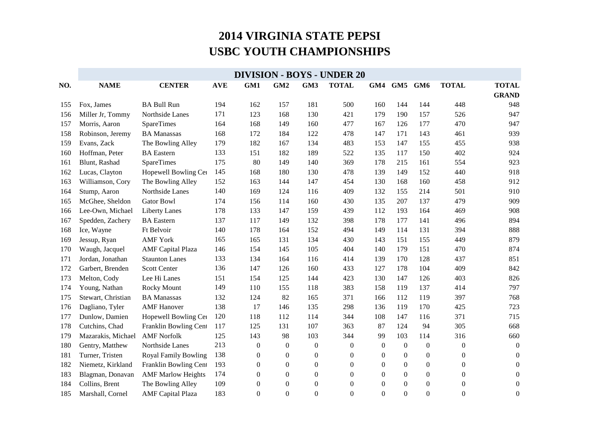|     | <b>DIVISION - BOYS - UNDER 20</b> |                             |            |                  |                  |                  |                  |                  |                  |                  |                  |                  |  |
|-----|-----------------------------------|-----------------------------|------------|------------------|------------------|------------------|------------------|------------------|------------------|------------------|------------------|------------------|--|
| NO. | <b>NAME</b>                       | <b>CENTER</b>               | <b>AVE</b> | GM1              | GM2              | GM3              | <b>TOTAL</b>     | GM4              | GM5              | GM <sub>6</sub>  | <b>TOTAL</b>     | <b>TOTAL</b>     |  |
|     |                                   |                             |            |                  |                  |                  |                  |                  |                  |                  |                  | <b>GRAND</b>     |  |
| 155 | Fox, James                        | <b>BA Bull Run</b>          | 194        | 162              | 157              | 181              | 500              | 160              | 144              | 144              | 448              | 948              |  |
| 156 | Miller Jr, Tommy                  | Northside Lanes             | 171        | 123              | 168              | 130              | 421              | 179              | 190              | 157              | 526              | 947              |  |
| 157 | Morris, Aaron                     | SpareTimes                  | 164        | 168              | 149              | 160              | 477              | 167              | 126              | 177              | 470              | 947              |  |
| 158 | Robinson, Jeremy                  | <b>BA</b> Manassas          | 168        | 172              | 184              | 122              | 478              | 147              | 171              | 143              | 461              | 939              |  |
| 159 | Evans, Zack                       | The Bowling Alley           | 179        | 182              | 167              | 134              | 483              | 153              | 147              | 155              | 455              | 938              |  |
| 160 | Hoffman, Peter                    | <b>BA</b> Eastern           | 133        | 151              | 182              | 189              | 522              | 135              | 117              | 150              | 402              | 924              |  |
| 161 | Blunt, Rashad                     | <b>SpareTimes</b>           | 175        | 80               | 149              | 140              | 369              | 178              | 215              | 161              | 554              | 923              |  |
| 162 | Lucas, Clayton                    | Hopewell Bowling Cer        | 145        | 168              | 180              | 130              | 478              | 139              | 149              | 152              | 440              | 918              |  |
| 163 | Williamson, Cory                  | The Bowling Alley           | 152        | 163              | 144              | 147              | 454              | 130              | 168              | 160              | 458              | 912              |  |
| 164 | Stump, Aaron                      | Northside Lanes             | 140        | 169              | 124              | 116              | 409              | 132              | 155              | 214              | 501              | 910              |  |
| 165 | McGhee, Sheldon                   | <b>Gator Bowl</b>           | 174        | 156              | 114              | 160              | 430              | 135              | 207              | 137              | 479              | 909              |  |
| 166 | Lee-Own, Michael                  | <b>Liberty Lanes</b>        | 178        | 133              | 147              | 159              | 439              | 112              | 193              | 164              | 469              | 908              |  |
| 167 | Spedden, Zachery                  | <b>BA</b> Eastern           | 137        | 117              | 149              | 132              | 398              | 178              | 177              | 141              | 496              | 894              |  |
| 168 | Ice, Wayne                        | Ft Belvoir                  | 140        | 178              | 164              | 152              | 494              | 149              | 114              | 131              | 394              | 888              |  |
| 169 | Jessup, Ryan                      | <b>AMF York</b>             | 165        | 165              | 131              | 134              | 430              | 143              | 151              | 155              | 449              | 879              |  |
| 170 | Waugh, Jacquel                    | <b>AMF</b> Capital Plaza    | 146        | 154              | 145              | 105              | 404              | 140              | 179              | 151              | 470              | 874              |  |
| 171 | Jordan, Jonathan                  | <b>Staunton Lanes</b>       | 133        | 134              | 164              | 116              | 414              | 139              | 170              | 128              | 437              | 851              |  |
| 172 | Garbert, Brenden                  | <b>Scott Center</b>         | 136        | 147              | 126              | 160              | 433              | 127              | 178              | 104              | 409              | 842              |  |
| 173 | Melton, Cody                      | Lee Hi Lanes                | 151        | 154              | 125              | 144              | 423              | 130              | 147              | 126              | 403              | 826              |  |
| 174 | Young, Nathan                     | Rocky Mount                 | 149        | 110              | 155              | 118              | 383              | 158              | 119              | 137              | 414              | 797              |  |
| 175 | Stewart, Christian                | <b>BA</b> Manassas          | 132        | 124              | 82               | 165              | 371              | 166              | 112              | 119              | 397              | 768              |  |
| 176 | Dagliano, Tyler                   | <b>AMF</b> Hanover          | 138        | 17               | 146              | 135              | 298              | 136              | 119              | 170              | 425              | 723              |  |
| 177 | Dunlow, Damien                    | Hopewell Bowling Cer        | 120        | 118              | 112              | 114              | 344              | 108              | 147              | 116              | 371              | 715              |  |
| 178 | Cutchins, Chad                    | Franklin Bowling Cent       | 117        | 125              | 131              | 107              | 363              | 87               | 124              | 94               | 305              | 668              |  |
| 179 | Mazarakis, Michael                | <b>AMF Norfolk</b>          | 125        | 143              | 98               | 103              | 344              | 99               | 103              | 114              | 316              | 660              |  |
| 180 | Gentry, Matthew                   | Northside Lanes             | 213        | $\boldsymbol{0}$ | $\boldsymbol{0}$ | $\boldsymbol{0}$ | $\boldsymbol{0}$ | $\boldsymbol{0}$ | $\boldsymbol{0}$ | $\boldsymbol{0}$ | $\boldsymbol{0}$ | $\overline{0}$   |  |
| 181 | Turner, Tristen                   | <b>Royal Family Bowling</b> | 138        | $\overline{0}$   | $\boldsymbol{0}$ | $\overline{0}$   | $\boldsymbol{0}$ | $\boldsymbol{0}$ | $\boldsymbol{0}$ | $\mathbf{0}$     | $\boldsymbol{0}$ | $\boldsymbol{0}$ |  |
| 182 | Niemetz, Kirkland                 | Franklin Bowling Cent       | 193        | $\theta$         | $\theta$         | $\overline{0}$   | $\mathbf{0}$     | $\overline{0}$   | $\boldsymbol{0}$ | $\overline{0}$   | $\mathbf{0}$     | $\overline{0}$   |  |
| 183 | Blagman, Donavan                  | <b>AMF Marlow Heights</b>   | 174        | $\boldsymbol{0}$ | $\boldsymbol{0}$ | $\overline{0}$   | $\boldsymbol{0}$ | $\boldsymbol{0}$ | $\boldsymbol{0}$ | $\overline{0}$   | $\boldsymbol{0}$ | $\boldsymbol{0}$ |  |
| 184 | Collins, Brent                    | The Bowling Alley           | 109        | $\boldsymbol{0}$ | $\boldsymbol{0}$ | $\boldsymbol{0}$ | $\boldsymbol{0}$ | $\boldsymbol{0}$ | $\boldsymbol{0}$ | $\boldsymbol{0}$ | $\boldsymbol{0}$ | $\boldsymbol{0}$ |  |
| 185 | Marshall, Cornel                  | <b>AMF</b> Capital Plaza    | 183        | $\overline{0}$   | $\theta$         | $\overline{0}$   | $\overline{0}$   | $\overline{0}$   | $\Omega$         | $\overline{0}$   | $\boldsymbol{0}$ | $\boldsymbol{0}$ |  |